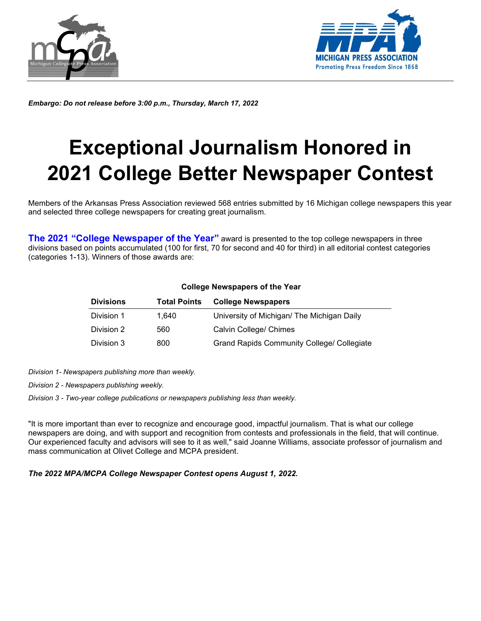



*Embargo: Do not release before 3:00 p.m., Thursday, March 17, 2022*

# **Exceptional Journalism Honored in 2021 College Better Newspaper Contest**

Members of the Arkansas Press Association reviewed 568 entries submitted by 16 Michigan college newspapers this year and selected three college newspapers for creating great journalism.

**The 2021 "College Newspaper of the Year"** award is presented to the top college newspapers in three divisions based on points accumulated (100 for first, 70 for second and 40 for third) in all editorial contest categories (categories 1-13). Winners of those awards are:

| <b>Divisions</b> | <b>Total Points</b> | <b>College Newspapers</b>                         |
|------------------|---------------------|---------------------------------------------------|
| Division 1       | 1.640               | University of Michigan/ The Michigan Daily        |
| Division 2       | 560                 | Calvin College/ Chimes                            |
| Division 3       | 800                 | <b>Grand Rapids Community College/ Collegiate</b> |

#### **College Newspapers of the Year**

*Division 1- Newspapers publishing more than weekly.*

*Division 2 - Newspapers publishing weekly.*

*Division 3 - Two-year college publications or newspapers publishing less than weekly.*

"It is more important than ever to recognize and encourage good, impactful journalism. That is what our college newspapers are doing, and with support and recognition from contests and professionals in the field, that will continue. Our experienced faculty and advisors will see to it as well," said Joanne Williams, associate professor of journalism and mass communication at Olivet College and MCPA president.

*The 2022 MPA/MCPA College Newspaper Contest opens August 1, 2022.*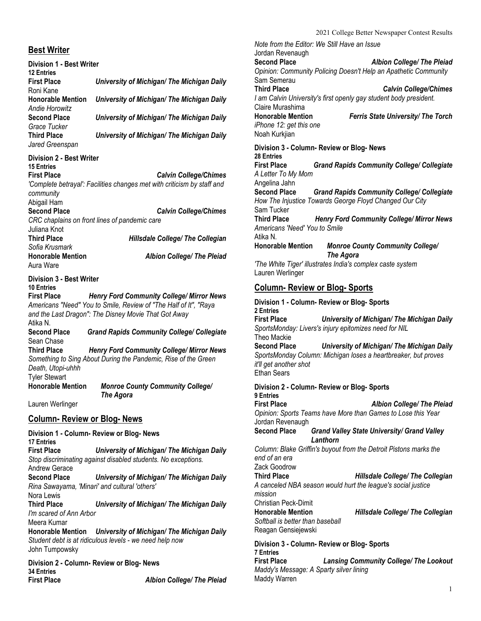#### **Best Writer**

| <b>Best Writer</b>                                                                          |                                                                                                                                                                              |
|---------------------------------------------------------------------------------------------|------------------------------------------------------------------------------------------------------------------------------------------------------------------------------|
| <b>Division 1 - Best Writer</b><br><b>12 Entries</b>                                        |                                                                                                                                                                              |
| <b>First Place</b><br>Roni Kane                                                             | University of Michigan/ The Michigan Daily                                                                                                                                   |
| <b>Honorable Mention</b><br><b>Andie Horowitz</b>                                           | University of Michigan/ The Michigan Daily                                                                                                                                   |
| <b>Second Place</b><br>Grace Tucker                                                         | University of Michigan/ The Michigan Daily                                                                                                                                   |
| <b>Third Place</b><br>Jared Greenspan                                                       | University of Michigan/ The Michigan Daily                                                                                                                                   |
| <b>Division 2 - Best Writer</b><br><b>15 Entries</b>                                        |                                                                                                                                                                              |
| <b>First Place</b><br>community<br>Abigail Ham                                              | <b>Calvin College/Chimes</b><br>'Complete betrayal': Facilities changes met with criticism by staff and                                                                      |
| <b>Second Place</b><br>Juliana Knot                                                         | <b>Calvin College/Chimes</b><br>CRC chaplains on front lines of pandemic care                                                                                                |
| <b>Third Place</b><br>Sofia Krusmark                                                        | <b>Hillsdale College/ The Collegian</b>                                                                                                                                      |
| <b>Honorable Mention</b><br>Aura Ware                                                       | <b>Albion College/ The Pleiad</b>                                                                                                                                            |
| <b>Division 3 - Best Writer</b><br><b>10 Entries</b><br><b>First Place</b><br>Atika N.      | <b>Henry Ford Community College/ Mirror News</b><br>Americans "Need" You to Smile, Review of "The Half of It", "Raya<br>and the Last Dragon": The Disney Movie That Got Away |
| <b>Second Place</b><br>Sean Chase                                                           | <b>Grand Rapids Community College/ Collegiate</b>                                                                                                                            |
| <b>Third Place</b><br>Death, Utopi-uhhh<br><b>Tyler Stewart</b><br><b>Honorable Mention</b> | Henry Ford Community College/ Mirror News<br>Something to Sing About During the Pandemic, Rise of the Green<br><b>Monroe County Community College/</b>                       |
| Lauren Werlinger                                                                            | The Agora                                                                                                                                                                    |
| <u>Column- Review or Blog- News</u>                                                         |                                                                                                                                                                              |
| Division 1 - Column- Review or Blog- News<br><b>17 Entries</b>                              |                                                                                                                                                                              |
| <b>First Place</b><br><b>Andrew Gerace</b>                                                  | University of Michigan/ The Michigan Daily<br>Stop discriminating against disabled students. No exceptions.                                                                  |
| <b>Second Place</b><br>Rina Sawayama, 'Minari' and cultural 'others'<br>Nora Lewis          | University of Michigan/ The Michigan Daily                                                                                                                                   |
| <b>Third Place</b><br>I'm scared of Ann Arbor<br>Meera Kumar                                | University of Michigan/ The Michigan Daily                                                                                                                                   |
|                                                                                             | Honorable Mention University of Michigan/ The Michigan Daily<br>Student debt is at ridiculous levels, we need help new                                                       |

*Student debt is at ridiculous levels - we need help now* John Tumpowsky

**Division 2 - Column- Review or Blog- News 34 Entries First Place** *Albion College/ The Pleiad*

*Note from the Editor: We Still Have an Issue* Jordan Revenaugh<br>Second Place **Second Place** *Albion College/ The Pleiad Opinion: Community Policing Doesn't Help an Apathetic Community* Sam Semerau **Third Place** *Calvin College/Chimes I am Calvin University's first openly gay student body president.* Claire Murashima **Honorable Mention** *Ferris State University/ The Torch iPhone 12: get this one* Noah Kurkjian **Division 3 - Column- Review or Blog- News 28 Entries First Place** *Grand Rapids Community College/ Collegiate A Letter To My Mom* Angelina Jahn **Second Place** *Grand Rapids Community College/ Collegiate How The Injustice Towards George Floyd Changed Our City* Sam Tucker<br>Third Place **Henry Ford Community College/ Mirror News** *Americans 'Need' You to Smile* Atika N. **Honorable Mention** *Monroe County Community College/ The Agora 'The White Tiger' illustrates India's complex caste system*

#### **Column- Review or Blog- Sports**

Lauren Werlinger

| Division 1 - Column- Review or Blog- Sports                                                                                                                                         |
|-------------------------------------------------------------------------------------------------------------------------------------------------------------------------------------|
| 2 Entries<br>University of Michigan/ The Michigan Daily<br><b>First Place</b><br>SportsMonday: Livers's injury epitomizes need for NIL<br>Theo Mackie                               |
| <b>Second Place</b><br>University of Michigan/ The Michigan Daily<br>SportsMonday Column: Michigan loses a heartbreaker, but proves<br>it'll get another shot<br><b>Ethan Sears</b> |
| Division 2 - Column- Review or Blog- Sports                                                                                                                                         |
| 9 Entries<br><b>First Place</b><br><b>Albion College/ The Pleiad</b><br>Opinion: Sports Teams have More than Games to Lose this Year<br>Jordan Revenaugh                            |
| <b>Second Place</b><br><b>Grand Valley State University/ Grand Valley</b><br>Lanthorn                                                                                               |
| Column: Blake Griffin's buyout from the Detroit Pistons marks the<br>end of an era<br>Zack Goodrow                                                                                  |
| <b>Third Place</b><br><b>Hillsdale College/ The Collegian</b><br>A canceled NBA season would hurt the league's social justice<br>mission<br>Christian Peck-Dimit                    |
| <b>Honorable Mention</b><br><b>Hillsdale College/ The Collegian</b><br>Softball is better than baseball<br>Reagan Gensiejewski                                                      |
| Division 3 - Column- Review or Blog- Sports<br><b>7 Entries</b><br><b>First Place</b><br><b>Lansing Community College/ The Lookout</b>                                              |
| Maddy's Message: A Sparty silver lining<br>Maddy Warren                                                                                                                             |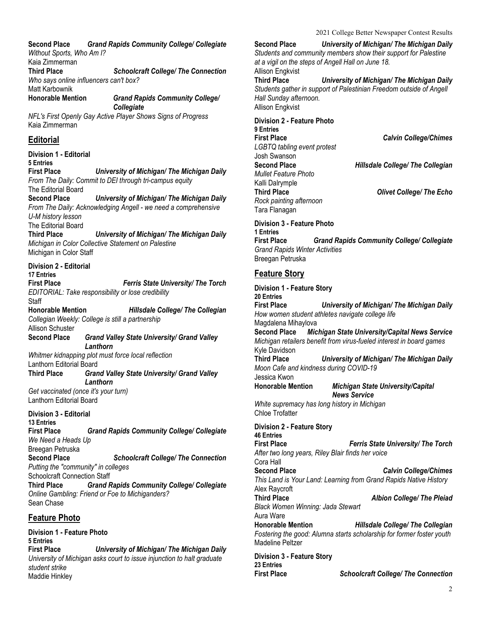**Second Place** *Grand Rapids Community College/ Collegiate Without Sports, Who Am I?*

Kaia Zimmerman **Third Place** *Schoolcraft College/ The Connection Who says online influencers can't box?* Matt Karbownik

**Honorable Mention** *Grand Rapids Community College/ Collegiate*

*NFL's First Openly Gay Active Player Shows Signs of Progress* Kaia Zimmerman

# **Editorial**

**Division 1 - Editorial 5 Entries First Place** *University of Michigan/ The Michigan Daily From The Daily: Commit to DEI through tri-campus equity* The Editorial Board **Second Place** *University of Michigan/ The Michigan Daily From The Daily: Acknowledging Angell - we need a comprehensive U-M history lesson* The Editorial Board **Third Place** *University of Michigan/ The Michigan Daily Michigan in Color Collective Statement on Palestine* Michigan in Color Staff **Division 2 - Editorial 17 Entries First Place** *Ferris State University/ The Torch EDITORIAL: Take responsibility or lose credibility* **Staff Honorable Mention** *Hillsdale College/ The Collegian Collegian Weekly: College is still a partnership* Allison Schuster **Second Place** *Grand Valley State University/ Grand Valley Lanthorn Whitmer kidnapping plot must force local reflection* Lanthorn Editorial Board **Third Place** *Grand Valley State University/ Grand Valley Lanthorn Get vaccinated (once it's your turn)* Lanthorn Editorial Board **Division 3 - Editorial 13 Entries First Place** *Grand Rapids Community College/ Collegiate We Need a Heads Up* Breegan Petruska **Second Place** *Schoolcraft College/ The Connection Putting the "community" in colleges* Schoolcraft Connection Staff<br>Third Place Grand F **Third Place** *Grand Rapids Community College/ Collegiate Online Gambling: Friend or Foe to Michiganders?* Sean Chase **Feature Photo Division 1 - Feature Photo 5 Entries**

**First Place** *University of Michigan/ The Michigan Daily University of Michigan asks court to issue injunction to halt graduate student strike* Maddie Hinkley

**Second Place** *University of Michigan/ The Michigan Daily Students and community members show their support for Palestine at a vigil on the steps of Angell Hall on June 18.* Allison Engkvist **Third Place** *University of Michigan/ The Michigan Daily Students gather in support of Palestinian Freedom outside of Angell Hall Sunday afternoon.* Allison Engkvist

**Division 2 - Feature Photo 9 Entries** *LGBTQ tabling event protest* Josh Swanson<br>Second Place *Mullet Feature Photo* Kalli Dalrymple *Rock painting afternoon* Tara Flanagan

**First Place** *Calvin College/Chimes*

**Hillsdale College/ The Collegian** 

**Third Place** *Olivet College/ The Echo*

**Division 3 - Feature Photo 1 Entries First Place** *Grand Rapids Community College/ Collegiate Grand Rapids Winter Activities* Breegan Petruska

# **Feature Story**

**Division 1 - Feature Story 20 Entries First Place** *University of Michigan/ The Michigan Daily How women student athletes navigate college life* Magdalena Mihaylova **Second Place** *Michigan State University/Capital News Service Michigan retailers benefit from virus-fueled interest in board games* Kyle Davidson<br>Third Place **University of Michigan/ The Michigan Daily** *Moon Cafe and kindness during COVID-19* Jessica Kwon **Honorable Mention** *Michigan State University/Capital News Service White supremacy has long history in Michigan* Chloe Trofatter **Division 2 - Feature Story 46 Entries First Place** *Ferris State University/ The Torch After two long years, Riley Blair finds her voice* Cora Hall **Second Place** *Calvin College/Chimes This Land is Your Land: Learning from Grand Rapids Native History* Alex Raycroft **Third Place** *Albion College/ The Pleiad Black Women Winning: Jada Stewart* Aura Ware **Honorable Mention** *Hillsdale College/ The Collegian Fostering the good: Alumna starts scholarship for former foster youth* Madeline Peltzer **Division 3 - Feature Story 23 Entries**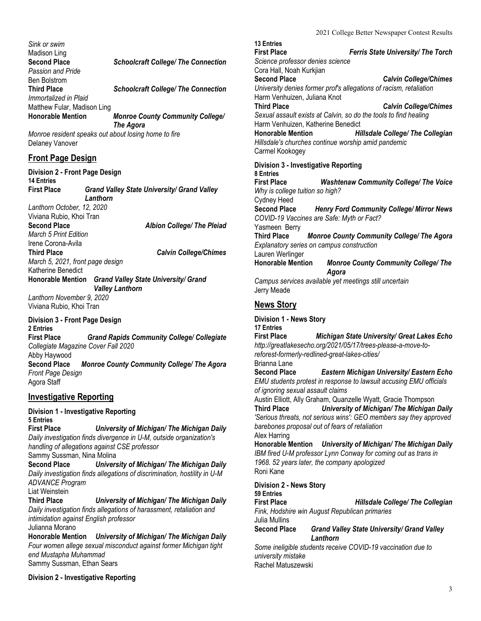*Sink or swim* Madison Ling<br>Second Place **Schoolcraft College/ The Connection** *Passion and Pride* Ben Bolstrom **Third Place** *Schoolcraft College/ The Connection Immortalized in Plaid* Matthew Fular, Madison Ling **Honorable Mention** *Monroe County Community College/ The Agora*

*Monroe resident speaks out about losing home to fire* Delaney Vanover

# **Front Page Design**

**Division 2 - Front Page Design**

**14 Entries First Place** *Grand Valley State University/ Grand Valley Lanthorn Lanthorn October, 12, 2020*

Viviana Rubio, Khoi Tran<br>Second Place

**Second Place** *Albion College/ The Pleiad*

*March 5 Print Edition* Irene Corona-Avila<br>Third Place

**Third Place** *Calvin College/Chimes*

*March 5, 2021, front page design* Katherine Benedict

**Honorable Mention** *Grand Valley State University/ Grand Valley Lanthorn*

*Lanthorn November 9, 2020* Viviana Rubio, Khoi Tran

#### **Division 3 - Front Page Design 2 Entries**

**First Place** *Grand Rapids Community College/ Collegiate Collegiate Magazine Cover Fall 2020* Abby Haywood **Second Place** *Monroe County Community College/ The Agora Front Page Design* Agora Staff

# **Investigative Reporting**

#### **Division 1 - Investigative Reporting**

**5 Entries**

**First Place** *University of Michigan/ The Michigan Daily Daily investigation finds divergence in U-M, outside organization's handling of allegations against CSE professor*

Sammy Sussman, Nina Molina

**Second Place** *University of Michigan/ The Michigan Daily Daily investigation finds allegations of discrimination, hostility in U-M ADVANCE Program*

Liat Weinstein<br>Third Place

**University of Michigan/ The Michigan Daily** *Daily investigation finds allegations of harassment, retaliation and intimidation against English professor* Julianna Morano

**Honorable Mention** *University of Michigan/ The Michigan Daily Four women allege sexual misconduct against former Michigan tight end Mustapha Muhammad* Sammy Sussman, Ethan Sears

**Division 2 - Investigative Reporting**

**13 Entries Ferris State University/ The Torch** *Science professor denies science* Cora Hall, Noah Kurkjian **Second Place** *Calvin College/Chimes University denies former prof's allegations of racism, retaliation* Harm Venhuizen, Juliana Knot **Third Place** *Calvin College/Chimes Sexual assault exists at Calvin, so do the tools to find healing* Harm Venhuizen, Katherine Benedict **Honorable Mention** *Hillsdale College/ The Collegian Hillsdale's churches continue worship amid pandemic* Carmel Kookogey **Division 3 - Investigative Reporting 8 Entries First Place** *Washtenaw Community College/ The Voice Why is college tuition so high?*

Cydney Heed **Second Place** *Henry Ford Community College/ Mirror News COVID-19 Vaccines are Safe: Myth or Fact?* Yasmeen Berry

**Third Place** *Monroe County Community College/ The Agora Explanatory series on campus construction*

Lauren Werlinger<br>Honorable Mention **Monroe County Community College/ The** *Agora*

*Campus services available yet meetings still uncertain* Jerry Meade

# **News Story**

**Division 1 - News Story 17 Entries Michigan State University/ Great Lakes Echo** *http://greatlakesecho.org/2021/05/17/trees-please-a-move-toreforest-formerly-redlined-great-lakes-cities/* Brianna Lane<br>Second Place

**Eastern Michigan University/ Eastern Echo** *EMU students protest in response to lawsuit accusing EMU officials of ignoring sexual assault claims*

Austin Elliott, Ally Graham, Quanzelle Wyatt, Gracie Thompson **Third Place** *University of Michigan/ The Michigan Daily 'Serious threats, not serious wins': GEO members say they approved barebones proposal out of fears of retaliation* Alex Harring

**Honorable Mention** *University of Michigan/ The Michigan Daily* **IBM fired U-M professor Lynn Conway for coming out as trans in** *1968. 52 years later, the company apologized* Roni Kane

**Division 2 - News Story 59 Entries First Place** *Hillsdale College/ The Collegian Fink, Hodshire win August Republican primaries* Julia Mullins **Second Place** *Grand Valley State University/ Grand Valley Lanthorn Some ineligible students receive COVID-19 vaccination due to* 

*university mistake* Rachel Matuszewski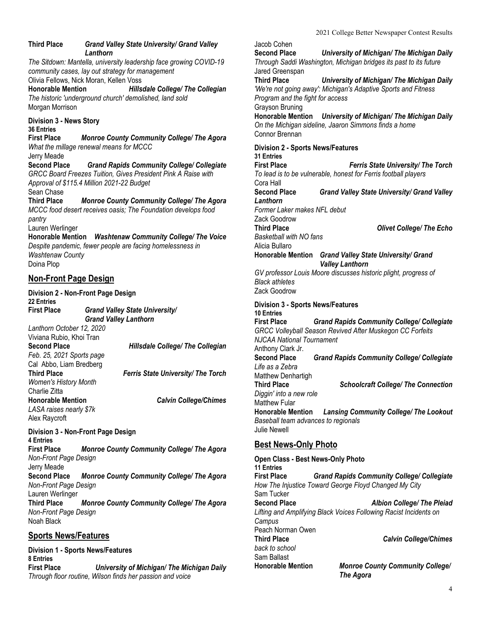#### **Third Place** *Grand Valley State University/ Grand Valley Lanthorn*

*The Sitdown: Mantella, university leadership face growing COVID-19 community cases, lay out strategy for management* Olivia Fellows, Nick Moran, Kellen Voss

**Honorable Mention** *Hillsdale College/ The Collegian The historic 'underground church' demolished, land sold* Morgan Morrison

**Division 3 - News Story 36 Entries First Place** *Monroe County Community College/ The Agora What the millage renewal means for MCCC* Jerry Meade **Second Place** *Grand Rapids Community College/ Collegiate GRCC Board Freezes Tuition, Gives President Pink A Raise with Approval of \$115.4 Million 2021-22 Budget* Sean Chase **Third Place** *Monroe County Community College/ The Agora MCCC food desert receives oasis; The Foundation develops food pantry* Lauren Werlinger **Honorable Mention** *Washtenaw Community College/ The Voice Despite pandemic, fewer people are facing homelessness in Washtenaw County* Doina Plop

# **Non-Front Page Design**

**Division 2 - Non-Front Page Design 22 Entries First Place** *Grand Valley State University/ Grand Valley Lanthorn Lanthorn October 12, 2020* Viviana Rubio, Khoi Tran<br>Second Place **Second Place** *Hillsdale College/ The Collegian Feb. 25, 2021 Sports page* Cal Abbo, Liam Bredberg **Third Place** *Ferris State University/ The Torch Women's History Month* Charlie Zitta **Honorable Mention** *Calvin College/Chimes LASA raises nearly \$7k* Alex Raycroft

**Division 3 - Non-Front Page Design 4 Entries**

**First Place** *Monroe County Community College/ The Agora Non-Front Page Design* Jerry Meade **Second Place** *Monroe County Community College/ The Agora Non-Front Page Design* Lauren Werlinger **Third Place** *Monroe County Community College/ The Agora Non-Front Page Design* Noah Black

#### **Sports News/Features**

**Division 1 - Sports News/Features 8 Entries First Place** *University of Michigan/ The Michigan Daily Through floor routine, Wilson finds her passion and voice*

Jacob Cohen<br>Second Place **Second Place** *University of Michigan/ The Michigan Daily Through Saddi Washington, Michigan bridges its past to its future* Jared Greenspan **Third Place** *University of Michigan/ The Michigan Daily 'We're not going away': Michigan's Adaptive Sports and Fitness Program and the fight for access* Grayson Bruning **Honorable Mention** *University of Michigan/ The Michigan Daily On the Michigan sideline, Jaaron Simmons finds a home* Connor Brennan **Division 2 - Sports News/Features 31 Entries First Place** *Ferris State University/ The Torch To lead is to be vulnerable, honest for Ferris football players* Cora Hall **Second Place** *Grand Valley State University/ Grand Valley Lanthorn Former Laker makes NFL debut* Zack Goodrow **Third Place** *Olivet College/ The Echo Basketball with NO fans* Alicia Bullaro **Honorable Mention** *Grand Valley State University/ Grand Valley Lanthorn GV professor Louis Moore discusses historic plight, progress of Black athletes* Zack Goodrow **Division 3 - Sports News/Features 10 Entries First Place** *Grand Rapids Community College/ Collegiate GRCC Volleyball Season Revived After Muskegon CC Forfeits NJCAA National Tournament* Anthony Clark Jr.<br>Second Place **Second Place** *Grand Rapids Community College/ Collegiate Life as a Zebra* Matthew Denhartigh **Third Place** *Schoolcraft College/ The Connection Diggin' into a new role* Matthew Fular **Honorable Mention** *Lansing Community College/ The Lookout Baseball team advances to regionals* Julie Newell **Best News-Only Photo Open Class - Best News-Only Photo 11 Entries First Place** *Grand Rapids Community College/ Collegiate How The Injustice Toward George Floyd Changed My City* Sam Tucker

**Second Place** *Albion College/ The Pleiad Lifting and Amplifying Black Voices Following Racist Incidents on Campus* Peach Norman Owen<br>Third Place **Third Place** *Calvin College/Chimes back to school*

Sam Ballast<br>Honorable Mention

**Monroe County Community College/** *The Agora*